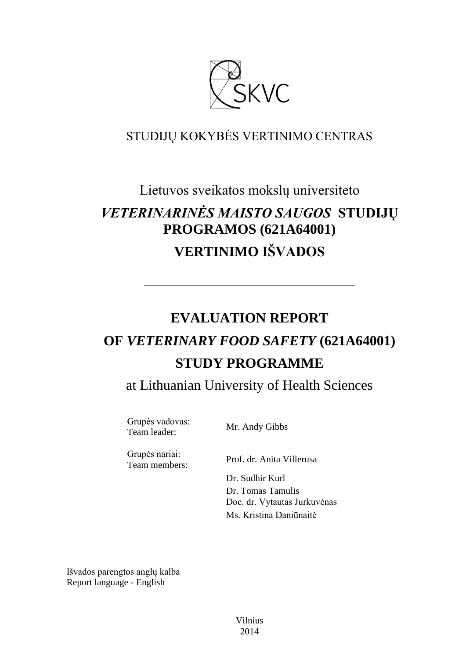

### STUDIJŲ KOKYBĖS VERTINIMO CENTRAS

## Lietuvos sveikatos mokslų universiteto

# *VETERINARINĖS MAISTO SAUGOS* **STUDIJŲ PROGRAMOS (621A64001) VERTINIMO IŠVADOS**

––––––––––––––––––––––––––––––

# **EVALUATION REPORT OF** *VETERINARY FOOD SAFETY* **(621A64001) STUDY PROGRAMME**

at Lithuanian University of Health Sciences

Grupės vadovas: Team leader: Mr. Andy Gibbs

Grupės nariai:

Team members: Prof. dr. Anita Villerusa

Dr. Sudhir Kurl Dr. Tomas Tamulis Doc. dr. Vytautas Jurkuvėnas Ms. Kristina Daniūnaitė

Išvados parengtos anglų kalba Report language - English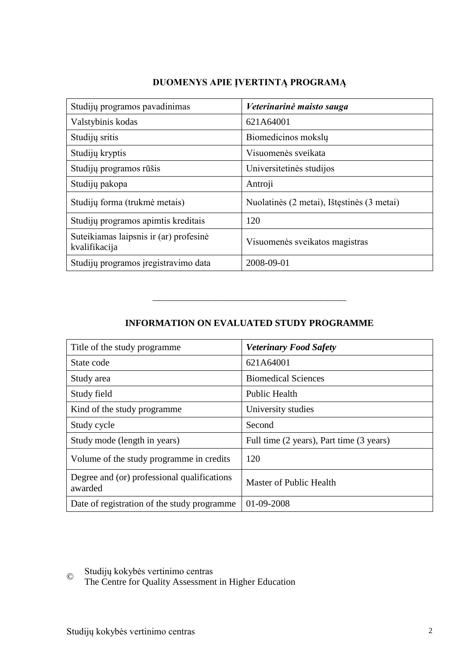#### **DUOMENYS APIE ĮVERTINTĄ PROGRAMĄ**

| Studijų programos pavadinimas                           | Veterinarinė maisto sauga                  |
|---------------------------------------------------------|--------------------------------------------|
| Valstybinis kodas                                       | 621A64001                                  |
| Studijų sritis                                          | Biomedicinos moksly                        |
| Studijų kryptis                                         | Visuomenės sveikata                        |
| Studijų programos rūšis                                 | Universitetinės studijos                   |
| Studijų pakopa                                          | Antroji                                    |
| Studijų forma (trukmė metais)                           | Nuolatinės (2 metai), Ištęstinės (3 metai) |
| Studijų programos apimtis kreditais                     | 120                                        |
| Suteikiamas laipsnis ir (ar) profesinė<br>kvalifikacija | Visuomenės sveikatos magistras             |
| Studijų programos įregistravimo data                    | 2008-09-01                                 |

#### **INFORMATION ON EVALUATED STUDY PROGRAMME**

–––––––––––––––––––––––––––––––

| Title of the study programme.                          | <b>Veterinary Food Safety</b>            |
|--------------------------------------------------------|------------------------------------------|
| State code                                             | 621A64001                                |
| Study area                                             | <b>Biomedical Sciences</b>               |
| Study field                                            | <b>Public Health</b>                     |
| Kind of the study programme.                           | University studies                       |
| Study cycle                                            | Second                                   |
| Study mode (length in years)                           | Full time (2 years), Part time (3 years) |
| Volume of the study programme in credits               | 120                                      |
| Degree and (or) professional qualifications<br>awarded | Master of Public Health                  |
| Date of registration of the study programme            | 01-09-2008                               |

© Studijų kokybės vertinimo centras

The Centre for Quality Assessment in Higher Education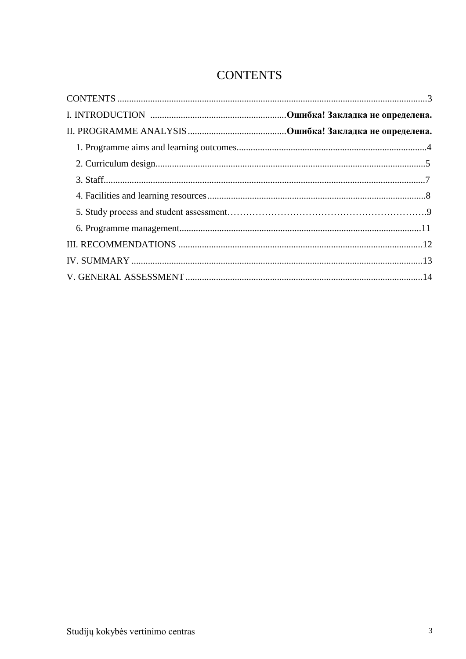## **CONTENTS**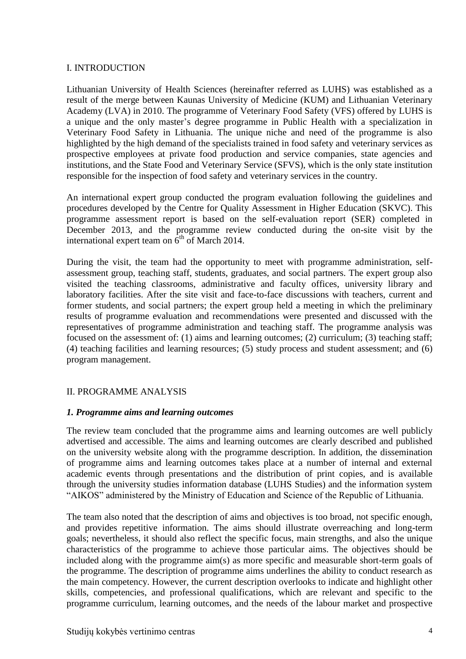#### I. INTRODUCTION

Lithuanian University of Health Sciences (hereinafter referred as LUHS) was established as a result of the merge between Kaunas University of Medicine (KUM) and Lithuanian Veterinary Academy (LVA) in 2010. The programme of Veterinary Food Safety (VFS) offered by LUHS is a unique and the only master's degree programme in Public Health with a specialization in Veterinary Food Safety in Lithuania. The unique niche and need of the programme is also highlighted by the high demand of the specialists trained in food safety and veterinary services as prospective employees at private food production and service companies, state agencies and institutions, and the State Food and Veterinary Service (SFVS), which is the only state institution responsible for the inspection of food safety and veterinary services in the country.

An international expert group conducted the program evaluation following the guidelines and procedures developed by the Centre for Quality Assessment in Higher Education (SKVC). This programme assessment report is based on the self-evaluation report (SER) completed in December 2013, and the programme review conducted during the on-site visit by the international expert team on  $6<sup>th</sup>$  of March 2014.

During the visit, the team had the opportunity to meet with programme administration, selfassessment group, teaching staff, students, graduates, and social partners. The expert group also visited the teaching classrooms, administrative and faculty offices, university library and laboratory facilities. After the site visit and face-to-face discussions with teachers, current and former students, and social partners; the expert group held a meeting in which the preliminary results of programme evaluation and recommendations were presented and discussed with the representatives of programme administration and teaching staff. The programme analysis was focused on the assessment of: (1) aims and learning outcomes; (2) curriculum; (3) teaching staff; (4) teaching facilities and learning resources; (5) study process and student assessment; and (6) program management.

#### II. PROGRAMME ANALYSIS

#### *1. Programme aims and learning outcomes*

The review team concluded that the programme aims and learning outcomes are well publicly advertised and accessible. The aims and learning outcomes are clearly described and published on the university website along with the programme description. In addition, the dissemination of programme aims and learning outcomes takes place at a number of internal and external academic events through presentations and the distribution of print copies, and is available through the university studies information database (LUHS Studies) and the information system "AIKOS" administered by the Ministry of Education and Science of the Republic of Lithuania.

The team also noted that the description of aims and objectives is too broad, not specific enough, and provides repetitive information. The aims should illustrate overreaching and long-term goals; nevertheless, it should also reflect the specific focus, main strengths, and also the unique characteristics of the programme to achieve those particular aims. The objectives should be included along with the programme aim(s) as more specific and measurable short-term goals of the programme. The description of programme aims underlines the ability to conduct research as the main competency. However, the current description overlooks to indicate and highlight other skills, competencies, and professional qualifications, which are relevant and specific to the programme curriculum, learning outcomes, and the needs of the labour market and prospective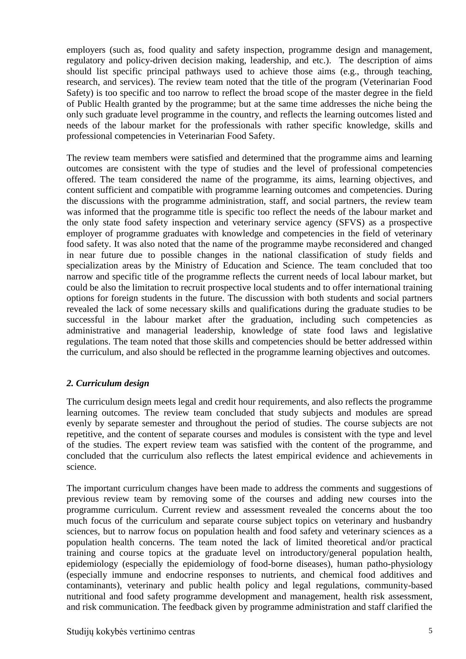employers (such as, food quality and safety inspection, programme design and management, regulatory and policy-driven decision making, leadership, and etc.). The description of aims should list specific principal pathways used to achieve those aims (e.g., through teaching, research, and services). The review team noted that the title of the program (Veterinarian Food Safety) is too specific and too narrow to reflect the broad scope of the master degree in the field of Public Health granted by the programme; but at the same time addresses the niche being the only such graduate level programme in the country, and reflects the learning outcomes listed and needs of the labour market for the professionals with rather specific knowledge, skills and professional competencies in Veterinarian Food Safety.

The review team members were satisfied and determined that the programme aims and learning outcomes are consistent with the type of studies and the level of professional competencies offered. The team considered the name of the programme, its aims, learning objectives, and content sufficient and compatible with programme learning outcomes and competencies. During the discussions with the programme administration, staff, and social partners, the review team was informed that the programme title is specific too reflect the needs of the labour market and the only state food safety inspection and veterinary service agency (SFVS) as a prospective employer of programme graduates with knowledge and competencies in the field of veterinary food safety. It was also noted that the name of the programme maybe reconsidered and changed in near future due to possible changes in the national classification of study fields and specialization areas by the Ministry of Education and Science. The team concluded that too narrow and specific title of the programme reflects the current needs of local labour market, but could be also the limitation to recruit prospective local students and to offer international training options for foreign students in the future. The discussion with both students and social partners revealed the lack of some necessary skills and qualifications during the graduate studies to be successful in the labour market after the graduation, including such competencies as administrative and managerial leadership, knowledge of state food laws and legislative regulations. The team noted that those skills and competencies should be better addressed within the curriculum, and also should be reflected in the programme learning objectives and outcomes.

#### *2. Curriculum design*

The curriculum design meets legal and credit hour requirements, and also reflects the programme learning outcomes. The review team concluded that study subjects and modules are spread evenly by separate semester and throughout the period of studies. The course subjects are not repetitive, and the content of separate courses and modules is consistent with the type and level of the studies. The expert review team was satisfied with the content of the programme, and concluded that the curriculum also reflects the latest empirical evidence and achievements in science.

The important curriculum changes have been made to address the comments and suggestions of previous review team by removing some of the courses and adding new courses into the programme curriculum. Current review and assessment revealed the concerns about the too much focus of the curriculum and separate course subject topics on veterinary and husbandry sciences, but to narrow focus on population health and food safety and veterinary sciences as a population health concerns. The team noted the lack of limited theoretical and/or practical training and course topics at the graduate level on introductory/general population health, epidemiology (especially the epidemiology of food-borne diseases), human patho-physiology (especially immune and endocrine responses to nutrients, and chemical food additives and contaminants), veterinary and public health policy and legal regulations, community-based nutritional and food safety programme development and management, health risk assessment, and risk communication. The feedback given by programme administration and staff clarified the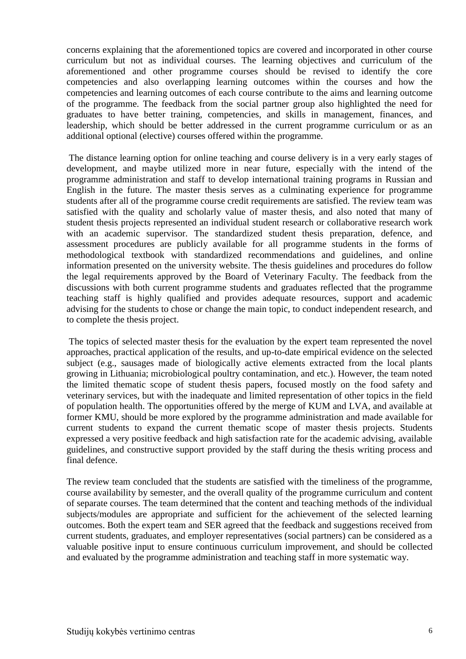concerns explaining that the aforementioned topics are covered and incorporated in other course curriculum but not as individual courses. The learning objectives and curriculum of the aforementioned and other programme courses should be revised to identify the core competencies and also overlapping learning outcomes within the courses and how the competencies and learning outcomes of each course contribute to the aims and learning outcome of the programme. The feedback from the social partner group also highlighted the need for graduates to have better training, competencies, and skills in management, finances, and leadership, which should be better addressed in the current programme curriculum or as an additional optional (elective) courses offered within the programme.

The distance learning option for online teaching and course delivery is in a very early stages of development, and maybe utilized more in near future, especially with the intend of the programme administration and staff to develop international training programs in Russian and English in the future. The master thesis serves as a culminating experience for programme students after all of the programme course credit requirements are satisfied. The review team was satisfied with the quality and scholarly value of master thesis, and also noted that many of student thesis projects represented an individual student research or collaborative research work with an academic supervisor. The standardized student thesis preparation, defence, and assessment procedures are publicly available for all programme students in the forms of methodological textbook with standardized recommendations and guidelines, and online information presented on the university website. The thesis guidelines and procedures do follow the legal requirements approved by the Board of Veterinary Faculty. The feedback from the discussions with both current programme students and graduates reflected that the programme teaching staff is highly qualified and provides adequate resources, support and academic advising for the students to chose or change the main topic, to conduct independent research, and to complete the thesis project.

The topics of selected master thesis for the evaluation by the expert team represented the novel approaches, practical application of the results, and up-to-date empirical evidence on the selected subject (e.g., sausages made of biologically active elements extracted from the local plants growing in Lithuania; microbiological poultry contamination, and etc.). However, the team noted the limited thematic scope of student thesis papers, focused mostly on the food safety and veterinary services, but with the inadequate and limited representation of other topics in the field of population health. The opportunities offered by the merge of KUM and LVA, and available at former KMU, should be more explored by the programme administration and made available for current students to expand the current thematic scope of master thesis projects. Students expressed a very positive feedback and high satisfaction rate for the academic advising, available guidelines, and constructive support provided by the staff during the thesis writing process and final defence.

The review team concluded that the students are satisfied with the timeliness of the programme, course availability by semester, and the overall quality of the programme curriculum and content of separate courses. The team determined that the content and teaching methods of the individual subjects/modules are appropriate and sufficient for the achievement of the selected learning outcomes. Both the expert team and SER agreed that the feedback and suggestions received from current students, graduates, and employer representatives (social partners) can be considered as a valuable positive input to ensure continuous curriculum improvement, and should be collected and evaluated by the programme administration and teaching staff in more systematic way.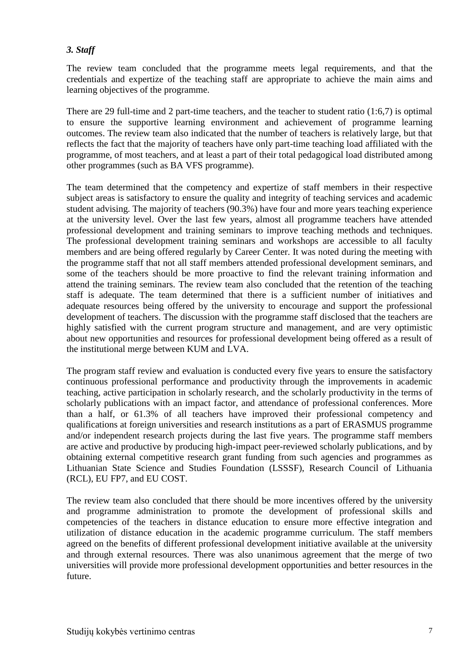#### *3. Staff*

The review team concluded that the programme meets legal requirements, and that the credentials and expertize of the teaching staff are appropriate to achieve the main aims and learning objectives of the programme.

There are 29 full-time and 2 part-time teachers, and the teacher to student ratio (1:6,7) is optimal to ensure the supportive learning environment and achievement of programme learning outcomes. The review team also indicated that the number of teachers is relatively large, but that reflects the fact that the majority of teachers have only part-time teaching load affiliated with the programme, of most teachers, and at least a part of their total pedagogical load distributed among other programmes (such as BA VFS programme).

The team determined that the competency and expertize of staff members in their respective subject areas is satisfactory to ensure the quality and integrity of teaching services and academic student advising. The majority of teachers (90.3%) have four and more years teaching experience at the university level. Over the last few years, almost all programme teachers have attended professional development and training seminars to improve teaching methods and techniques. The professional development training seminars and workshops are accessible to all faculty members and are being offered regularly by Career Center. It was noted during the meeting with the programme staff that not all staff members attended professional development seminars, and some of the teachers should be more proactive to find the relevant training information and attend the training seminars. The review team also concluded that the retention of the teaching staff is adequate. The team determined that there is a sufficient number of initiatives and adequate resources being offered by the university to encourage and support the professional development of teachers. The discussion with the programme staff disclosed that the teachers are highly satisfied with the current program structure and management, and are very optimistic about new opportunities and resources for professional development being offered as a result of the institutional merge between KUM and LVA.

The program staff review and evaluation is conducted every five years to ensure the satisfactory continuous professional performance and productivity through the improvements in academic teaching, active participation in scholarly research, and the scholarly productivity in the terms of scholarly publications with an impact factor, and attendance of professional conferences. More than a half, or 61.3% of all teachers have improved their professional competency and qualifications at foreign universities and research institutions as a part of ERASMUS programme and/or independent research projects during the last five years. The programme staff members are active and productive by producing high-impact peer-reviewed scholarly publications, and by obtaining external competitive research grant funding from such agencies and programmes as Lithuanian State Science and Studies Foundation (LSSSF), Research Council of Lithuania (RCL), EU FP7, and EU COST.

The review team also concluded that there should be more incentives offered by the university and programme administration to promote the development of professional skills and competencies of the teachers in distance education to ensure more effective integration and utilization of distance education in the academic programme curriculum. The staff members agreed on the benefits of different professional development initiative available at the university and through external resources. There was also unanimous agreement that the merge of two universities will provide more professional development opportunities and better resources in the future.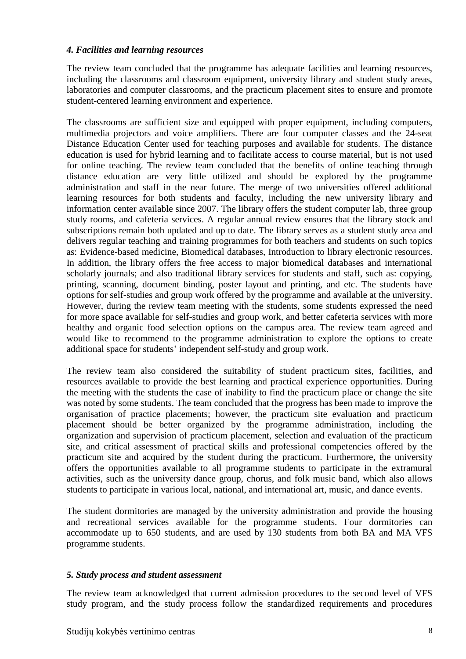#### *4. Facilities and learning resources*

The review team concluded that the programme has adequate facilities and learning resources, including the classrooms and classroom equipment, university library and student study areas, laboratories and computer classrooms, and the practicum placement sites to ensure and promote student-centered learning environment and experience.

The classrooms are sufficient size and equipped with proper equipment, including computers, multimedia projectors and voice amplifiers. There are four computer classes and the 24-seat Distance Education Center used for teaching purposes and available for students. The distance education is used for hybrid learning and to facilitate access to course material, but is not used for online teaching. The review team concluded that the benefits of online teaching through distance education are very little utilized and should be explored by the programme administration and staff in the near future. The merge of two universities offered additional learning resources for both students and faculty, including the new university library and information center available since 2007. The library offers the student computer lab, three group study rooms, and cafeteria services. A regular annual review ensures that the library stock and subscriptions remain both updated and up to date. The library serves as a student study area and delivers regular teaching and training programmes for both teachers and students on such topics as: Evidence-based medicine, Biomedical databases, Introduction to library electronic resources. In addition, the library offers the free access to major biomedical databases and international scholarly journals; and also traditional library services for students and staff, such as: copying, printing, scanning, document binding, poster layout and printing, and etc. The students have options for self-studies and group work offered by the programme and available at the university. However, during the review team meeting with the students, some students expressed the need for more space available for self-studies and group work, and better cafeteria services with more healthy and organic food selection options on the campus area. The review team agreed and would like to recommend to the programme administration to explore the options to create additional space for students' independent self-study and group work.

The review team also considered the suitability of student practicum sites, facilities, and resources available to provide the best learning and practical experience opportunities. During the meeting with the students the case of inability to find the practicum place or change the site was noted by some students. The team concluded that the progress has been made to improve the organisation of practice placements; however, the practicum site evaluation and practicum placement should be better organized by the programme administration, including the organization and supervision of practicum placement, selection and evaluation of the practicum site, and critical assessment of practical skills and professional competencies offered by the practicum site and acquired by the student during the practicum. Furthermore, the university offers the opportunities available to all programme students to participate in the extramural activities, such as the university dance group, chorus, and folk music band, which also allows students to participate in various local, national, and international art, music, and dance events.

The student dormitories are managed by the university administration and provide the housing and recreational services available for the programme students. Four dormitories can accommodate up to 650 students, and are used by 130 students from both BA and MA VFS programme students.

#### *5. Study process and student assessment*

The review team acknowledged that current admission procedures to the second level of VFS study program, and the study process follow the standardized requirements and procedures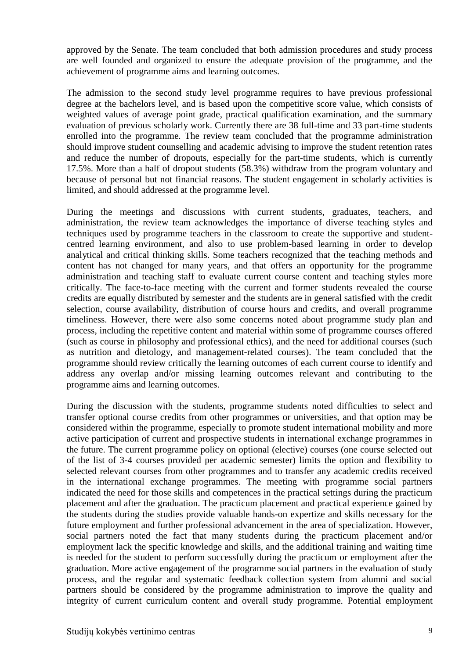approved by the Senate. The team concluded that both admission procedures and study process are well founded and organized to ensure the adequate provision of the programme, and the achievement of programme aims and learning outcomes.

The admission to the second study level programme requires to have previous professional degree at the bachelors level, and is based upon the competitive score value, which consists of weighted values of average point grade, practical qualification examination, and the summary evaluation of previous scholarly work. Currently there are 38 full-time and 33 part-time students enrolled into the programme. The review team concluded that the programme administration should improve student counselling and academic advising to improve the student retention rates and reduce the number of dropouts, especially for the part-time students, which is currently 17.5%. More than a half of dropout students (58.3%) withdraw from the program voluntary and because of personal but not financial reasons. The student engagement in scholarly activities is limited, and should addressed at the programme level.

During the meetings and discussions with current students, graduates, teachers, and administration, the review team acknowledges the importance of diverse teaching styles and techniques used by programme teachers in the classroom to create the supportive and studentcentred learning environment, and also to use problem-based learning in order to develop analytical and critical thinking skills. Some teachers recognized that the teaching methods and content has not changed for many years, and that offers an opportunity for the programme administration and teaching staff to evaluate current course content and teaching styles more critically. The face-to-face meeting with the current and former students revealed the course credits are equally distributed by semester and the students are in general satisfied with the credit selection, course availability, distribution of course hours and credits, and overall programme timeliness. However, there were also some concerns noted about programme study plan and process, including the repetitive content and material within some of programme courses offered (such as course in philosophy and professional ethics), and the need for additional courses (such as nutrition and dietology, and management-related courses). The team concluded that the programme should review critically the learning outcomes of each current course to identify and address any overlap and/or missing learning outcomes relevant and contributing to the programme aims and learning outcomes.

During the discussion with the students, programme students noted difficulties to select and transfer optional course credits from other programmes or universities, and that option may be considered within the programme, especially to promote student international mobility and more active participation of current and prospective students in international exchange programmes in the future. The current programme policy on optional (elective) courses (one course selected out of the list of 3-4 courses provided per academic semester) limits the option and flexibility to selected relevant courses from other programmes and to transfer any academic credits received in the international exchange programmes. The meeting with programme social partners indicated the need for those skills and competences in the practical settings during the practicum placement and after the graduation. The practicum placement and practical experience gained by the students during the studies provide valuable hands-on expertize and skills necessary for the future employment and further professional advancement in the area of specialization. However, social partners noted the fact that many students during the practicum placement and/or employment lack the specific knowledge and skills, and the additional training and waiting time is needed for the student to perform successfully during the practicum or employment after the graduation. More active engagement of the programme social partners in the evaluation of study process, and the regular and systematic feedback collection system from alumni and social partners should be considered by the programme administration to improve the quality and integrity of current curriculum content and overall study programme. Potential employment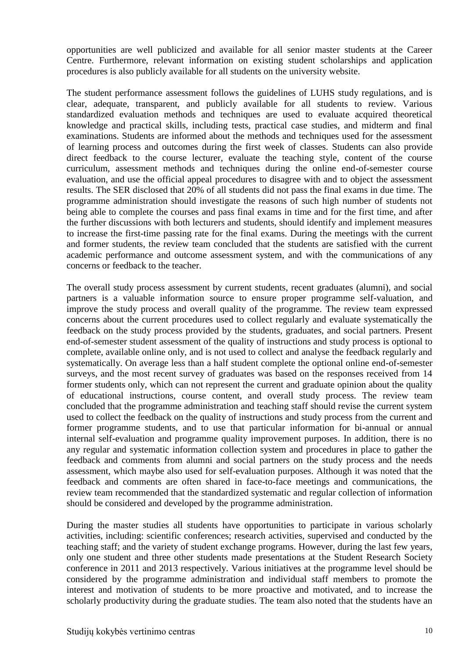opportunities are well publicized and available for all senior master students at the Career Centre. Furthermore, relevant information on existing student scholarships and application procedures is also publicly available for all students on the university website.

The student performance assessment follows the guidelines of LUHS study regulations, and is clear, adequate, transparent, and publicly available for all students to review. Various standardized evaluation methods and techniques are used to evaluate acquired theoretical knowledge and practical skills, including tests, practical case studies, and midterm and final examinations. Students are informed about the methods and techniques used for the assessment of learning process and outcomes during the first week of classes. Students can also provide direct feedback to the course lecturer, evaluate the teaching style, content of the course curriculum, assessment methods and techniques during the online end-of-semester course evaluation, and use the official appeal procedures to disagree with and to object the assessment results. The SER disclosed that 20% of all students did not pass the final exams in due time. The programme administration should investigate the reasons of such high number of students not being able to complete the courses and pass final exams in time and for the first time, and after the further discussions with both lecturers and students, should identify and implement measures to increase the first-time passing rate for the final exams. During the meetings with the current and former students, the review team concluded that the students are satisfied with the current academic performance and outcome assessment system, and with the communications of any concerns or feedback to the teacher.

The overall study process assessment by current students, recent graduates (alumni), and social partners is a valuable information source to ensure proper programme self-valuation, and improve the study process and overall quality of the programme. The review team expressed concerns about the current procedures used to collect regularly and evaluate systematically the feedback on the study process provided by the students, graduates, and social partners. Present end-of-semester student assessment of the quality of instructions and study process is optional to complete, available online only, and is not used to collect and analyse the feedback regularly and systematically. On average less than a half student complete the optional online end-of-semester surveys, and the most recent survey of graduates was based on the responses received from 14 former students only, which can not represent the current and graduate opinion about the quality of educational instructions, course content, and overall study process. The review team concluded that the programme administration and teaching staff should revise the current system used to collect the feedback on the quality of instructions and study process from the current and former programme students, and to use that particular information for bi-annual or annual internal self-evaluation and programme quality improvement purposes. In addition, there is no any regular and systematic information collection system and procedures in place to gather the feedback and comments from alumni and social partners on the study process and the needs assessment, which maybe also used for self-evaluation purposes. Although it was noted that the feedback and comments are often shared in face-to-face meetings and communications, the review team recommended that the standardized systematic and regular collection of information should be considered and developed by the programme administration.

During the master studies all students have opportunities to participate in various scholarly activities, including: scientific conferences; research activities, supervised and conducted by the teaching staff; and the variety of student exchange programs. However, during the last few years, only one student and three other students made presentations at the Student Research Society conference in 2011 and 2013 respectively. Various initiatives at the programme level should be considered by the programme administration and individual staff members to promote the interest and motivation of students to be more proactive and motivated, and to increase the scholarly productivity during the graduate studies. The team also noted that the students have an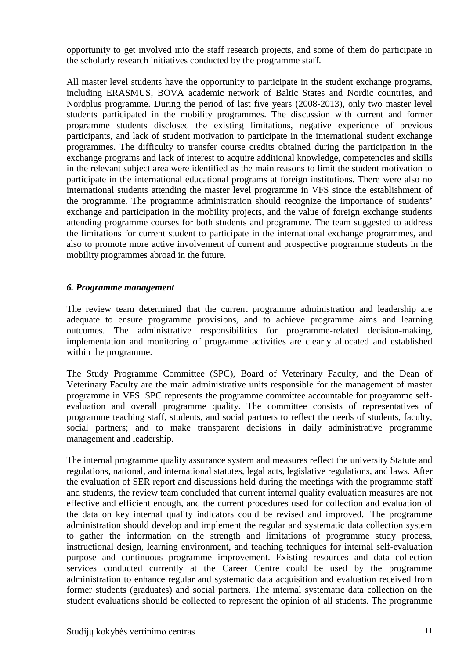opportunity to get involved into the staff research projects, and some of them do participate in the scholarly research initiatives conducted by the programme staff.

All master level students have the opportunity to participate in the student exchange programs, including ERASMUS, BOVA academic network of Baltic States and Nordic countries, and Nordplus programme. During the period of last five years (2008-2013), only two master level students participated in the mobility programmes. The discussion with current and former programme students disclosed the existing limitations, negative experience of previous participants, and lack of student motivation to participate in the international student exchange programmes. The difficulty to transfer course credits obtained during the participation in the exchange programs and lack of interest to acquire additional knowledge, competencies and skills in the relevant subject area were identified as the main reasons to limit the student motivation to participate in the international educational programs at foreign institutions. There were also no international students attending the master level programme in VFS since the establishment of the programme. The programme administration should recognize the importance of students' exchange and participation in the mobility projects, and the value of foreign exchange students attending programme courses for both students and programme. The team suggested to address the limitations for current student to participate in the international exchange programmes, and also to promote more active involvement of current and prospective programme students in the mobility programmes abroad in the future.

#### *6. Programme management*

The review team determined that the current programme administration and leadership are adequate to ensure programme provisions, and to achieve programme aims and learning outcomes. The administrative responsibilities for programme-related decision-making, implementation and monitoring of programme activities are clearly allocated and established within the programme.

The Study Programme Committee (SPC), Board of Veterinary Faculty, and the Dean of Veterinary Faculty are the main administrative units responsible for the management of master programme in VFS. SPC represents the programme committee accountable for programme selfevaluation and overall programme quality. The committee consists of representatives of programme teaching staff, students, and social partners to reflect the needs of students, faculty, social partners; and to make transparent decisions in daily administrative programme management and leadership.

The internal programme quality assurance system and measures reflect the university Statute and regulations, national, and international statutes, legal acts, legislative regulations, and laws. After the evaluation of SER report and discussions held during the meetings with the programme staff and students, the review team concluded that current internal quality evaluation measures are not effective and efficient enough, and the current procedures used for collection and evaluation of the data on key internal quality indicators could be revised and improved. The programme administration should develop and implement the regular and systematic data collection system to gather the information on the strength and limitations of programme study process, instructional design, learning environment, and teaching techniques for internal self-evaluation purpose and continuous programme improvement. Existing resources and data collection services conducted currently at the Career Centre could be used by the programme administration to enhance regular and systematic data acquisition and evaluation received from former students (graduates) and social partners. The internal systematic data collection on the student evaluations should be collected to represent the opinion of all students. The programme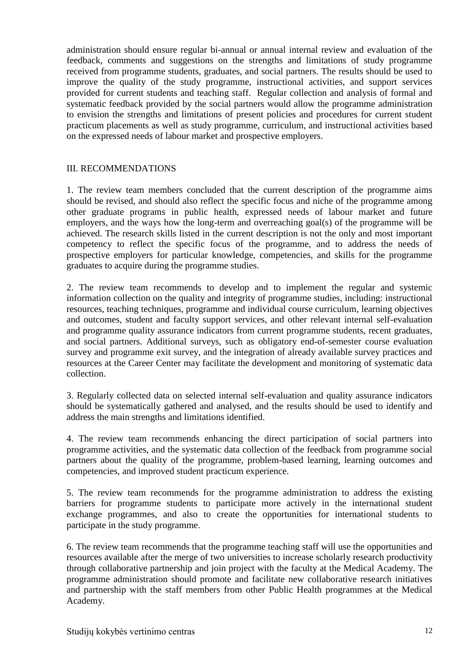administration should ensure regular bi-annual or annual internal review and evaluation of the feedback, comments and suggestions on the strengths and limitations of study programme received from programme students, graduates, and social partners. The results should be used to improve the quality of the study programme, instructional activities, and support services provided for current students and teaching staff. Regular collection and analysis of formal and systematic feedback provided by the social partners would allow the programme administration to envision the strengths and limitations of present policies and procedures for current student practicum placements as well as study programme, curriculum, and instructional activities based on the expressed needs of labour market and prospective employers.

#### III. RECOMMENDATIONS

1. The review team members concluded that the current description of the programme aims should be revised, and should also reflect the specific focus and niche of the programme among other graduate programs in public health, expressed needs of labour market and future employers, and the ways how the long-term and overreaching goal(s) of the programme will be achieved. The research skills listed in the current description is not the only and most important competency to reflect the specific focus of the programme, and to address the needs of prospective employers for particular knowledge, competencies, and skills for the programme graduates to acquire during the programme studies.

2. The review team recommends to develop and to implement the regular and systemic information collection on the quality and integrity of programme studies, including: instructional resources, teaching techniques, programme and individual course curriculum, learning objectives and outcomes, student and faculty support services, and other relevant internal self-evaluation and programme quality assurance indicators from current programme students, recent graduates, and social partners. Additional surveys, such as obligatory end-of-semester course evaluation survey and programme exit survey, and the integration of already available survey practices and resources at the Career Center may facilitate the development and monitoring of systematic data collection.

3. Regularly collected data on selected internal self-evaluation and quality assurance indicators should be systematically gathered and analysed, and the results should be used to identify and address the main strengths and limitations identified.

4. The review team recommends enhancing the direct participation of social partners into programme activities, and the systematic data collection of the feedback from programme social partners about the quality of the programme, problem-based learning, learning outcomes and competencies, and improved student practicum experience.

5. The review team recommends for the programme administration to address the existing barriers for programme students to participate more actively in the international student exchange programmes, and also to create the opportunities for international students to participate in the study programme.

6. The review team recommends that the programme teaching staff will use the opportunities and resources available after the merge of two universities to increase scholarly research productivity through collaborative partnership and join project with the faculty at the Medical Academy. The programme administration should promote and facilitate new collaborative research initiatives and partnership with the staff members from other Public Health programmes at the Medical Academy.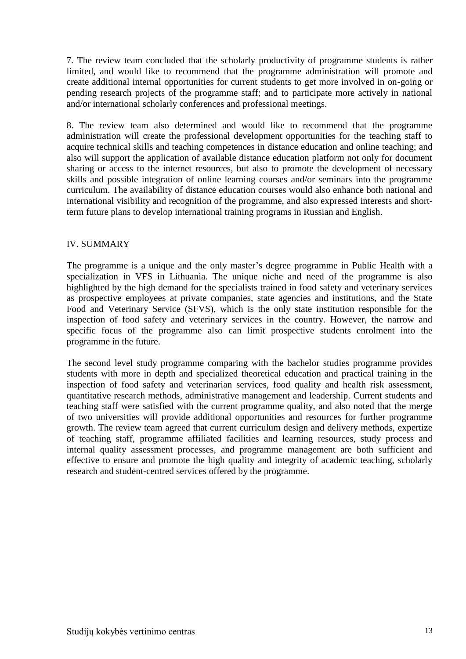7. The review team concluded that the scholarly productivity of programme students is rather limited, and would like to recommend that the programme administration will promote and create additional internal opportunities for current students to get more involved in on-going or pending research projects of the programme staff; and to participate more actively in national and/or international scholarly conferences and professional meetings.

8. The review team also determined and would like to recommend that the programme administration will create the professional development opportunities for the teaching staff to acquire technical skills and teaching competences in distance education and online teaching; and also will support the application of available distance education platform not only for document sharing or access to the internet resources, but also to promote the development of necessary skills and possible integration of online learning courses and/or seminars into the programme curriculum. The availability of distance education courses would also enhance both national and international visibility and recognition of the programme, and also expressed interests and shortterm future plans to develop international training programs in Russian and English.

#### IV. SUMMARY

The programme is a unique and the only master's degree programme in Public Health with a specialization in VFS in Lithuania. The unique niche and need of the programme is also highlighted by the high demand for the specialists trained in food safety and veterinary services as prospective employees at private companies, state agencies and institutions, and the State Food and Veterinary Service (SFVS), which is the only state institution responsible for the inspection of food safety and veterinary services in the country. However, the narrow and specific focus of the programme also can limit prospective students enrolment into the programme in the future.

The second level study programme comparing with the bachelor studies programme provides students with more in depth and specialized theoretical education and practical training in the inspection of food safety and veterinarian services, food quality and health risk assessment, quantitative research methods, administrative management and leadership. Current students and teaching staff were satisfied with the current programme quality, and also noted that the merge of two universities will provide additional opportunities and resources for further programme growth. The review team agreed that current curriculum design and delivery methods, expertize of teaching staff, programme affiliated facilities and learning resources, study process and internal quality assessment processes, and programme management are both sufficient and effective to ensure and promote the high quality and integrity of academic teaching, scholarly research and student-centred services offered by the programme.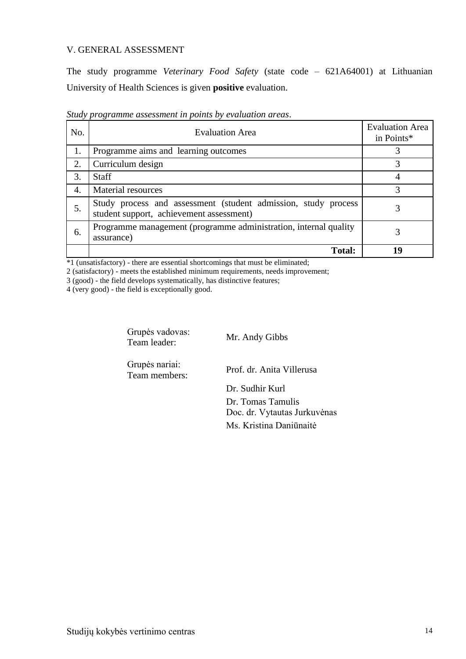#### V. GENERAL ASSESSMENT

The study programme *Veterinary Food Safety* (state code – 621A64001) at Lithuanian University of Health Sciences is given **positive** evaluation.

| No. | <b>Evaluation Area</b>                                                                                     | <b>Evaluation Area</b><br>in Points* |
|-----|------------------------------------------------------------------------------------------------------------|--------------------------------------|
| 1.  | Programme aims and learning outcomes                                                                       |                                      |
| 2.  | Curriculum design                                                                                          | 3                                    |
| 3.  | <b>Staff</b>                                                                                               |                                      |
| 4.  | Material resources                                                                                         | 3                                    |
| 5.  | Study process and assessment (student admission, study process<br>student support, achievement assessment) |                                      |
| 6.  | Programme management (programme administration, internal quality<br>assurance)                             | 3                                    |
|     | <b>Total:</b>                                                                                              | 19                                   |

*Study programme assessment in points by evaluation areas*.

\*1 (unsatisfactory) - there are essential shortcomings that must be eliminated;

2 (satisfactory) - meets the established minimum requirements, needs improvement;

3 (good) - the field develops systematically, has distinctive features;

4 (very good) - the field is exceptionally good.

Grupės vadovas: Team leader: Mr. Andy Gibbs

Grupės nariai:

Team members: Prof. dr. Anita Villerusa

Dr. Sudhir Kurl Dr. Tomas Tamulis Doc. dr. Vytautas Jurkuvėnas Ms. Kristina Daniūnaitė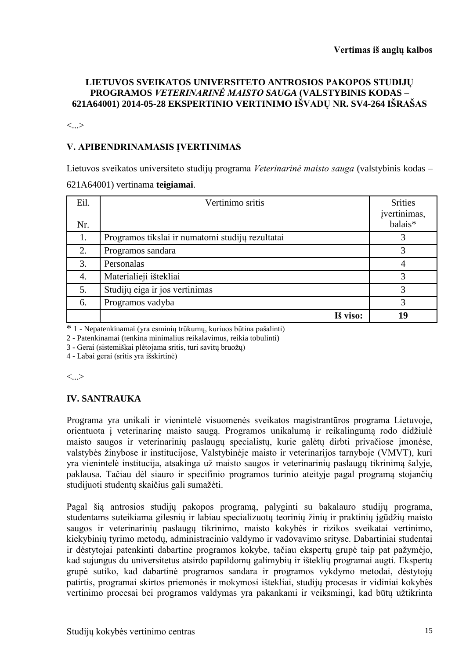#### **LIETUVOS SVEIKATOS UNIVERSITETO ANTROSIOS PAKOPOS STUDIJŲ PROGRAMOS** *VETERINARINĖ MAISTO SAUGA* **(VALSTYBINIS KODAS – 621A64001) 2014-05-28 EKSPERTINIO VERTINIMO IŠVADŲ NR. SV4-264 IŠRAŠAS**

<...>

#### **V. APIBENDRINAMASIS ĮVERTINIMAS**

Lietuvos sveikatos universiteto studijų programa *Veterinarinė maisto sauga* (valstybinis kodas – 621A64001) vertinama **teigiamai**.

| Eil.<br>Nr. | Vertinimo sritis                                 | <b>Srities</b><br>įvertinimas,<br>balais* |
|-------------|--------------------------------------------------|-------------------------------------------|
| 1.          | Programos tikslai ir numatomi studijų rezultatai | 3                                         |
| 2.          | Programos sandara                                | 3                                         |
| 3.          | Personalas                                       | 4                                         |
| 4.          | Materialieji ištekliai                           | 3                                         |
| 5.          | Studijų eiga ir jos vertinimas                   | 3                                         |
| 6.          | Programos vadyba                                 | 3                                         |
|             | Iš viso:                                         | 19                                        |

\* 1 - Nepatenkinamai (yra esminių trūkumų, kuriuos būtina pašalinti)

2 - Patenkinamai (tenkina minimalius reikalavimus, reikia tobulinti)

3 - Gerai (sistemiškai plėtojama sritis, turi savitų bruožų)

4 - Labai gerai (sritis yra išskirtinė)

<...>

#### **IV. SANTRAUKA**

Programa yra unikali ir vienintelė visuomenės sveikatos magistrantūros programa Lietuvoje, orientuota į veterinarinę maisto saugą. Programos unikalumą ir reikalingumą rodo didžiulė maisto saugos ir veterinarinių paslaugų specialistų, kurie galėtų dirbti privačiose įmonėse, valstybės žinybose ir institucijose, Valstybinėje maisto ir veterinarijos tarnyboje (VMVT), kuri yra vienintelė institucija, atsakinga už maisto saugos ir veterinarinių paslaugų tikrinimą šalyje, paklausa. Tačiau dėl siauro ir specifinio programos turinio ateityje pagal programą stojančių studijuoti studentų skaičius gali sumažėti.

Pagal šią antrosios studijų pakopos programą, palyginti su bakalauro studijų programa, studentams suteikiama gilesnių ir labiau specializuotų teorinių žinių ir praktinių įgūdžių maisto saugos ir veterinarinių paslaugų tikrinimo, maisto kokybės ir rizikos sveikatai vertinimo, kiekybinių tyrimo metodų, administracinio valdymo ir vadovavimo srityse. Dabartiniai studentai ir dėstytojai patenkinti dabartine programos kokybe, tačiau ekspertų grupė taip pat pažymėjo, kad sujungus du universitetus atsirdo papildomų galimybių ir išteklių programai augti. Ekspertų grupė sutiko, kad dabartinė programos sandara ir programos vykdymo metodai, dėstytojų patirtis, programai skirtos priemonės ir mokymosi ištekliai, studijų procesas ir vidiniai kokybės vertinimo procesai bei programos valdymas yra pakankami ir veiksmingi, kad būtų užtikrinta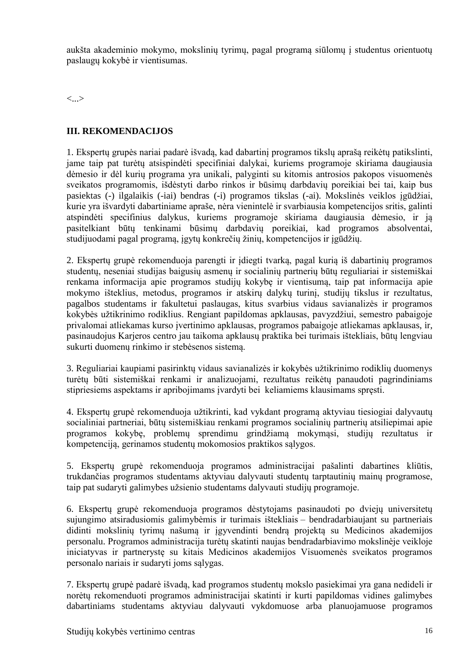aukšta akademinio mokymo, mokslinių tyrimų, pagal programą siūlomų į studentus orientuotų paslaugų kokybė ir vientisumas.

<...>

#### **III. REKOMENDACIJOS**

1. Ekspertų grupės nariai padarė išvadą, kad dabartinį programos tikslų aprašą reikėtų patikslinti, jame taip pat turėtų atsispindėti specifiniai dalykai, kuriems programoje skiriama daugiausia dėmesio ir dėl kurių programa yra unikali, palyginti su kitomis antrosios pakopos visuomenės sveikatos programomis, išdėstyti darbo rinkos ir būsimų darbdavių poreikiai bei tai, kaip bus pasiektas (-) ilgalaikis (-iai) bendras (-i) programos tikslas (-ai). Mokslinės veiklos įgūdžiai, kurie yra išvardyti dabartiniame apraše, nėra vienintelė ir svarbiausia kompetencijos sritis, galinti atspindėti specifinius dalykus, kuriems programoje skiriama daugiausia dėmesio, ir ją pasitelkiant būtų tenkinami būsimų darbdavių poreikiai, kad programos absolventai, studijuodami pagal programą, įgytų konkrečių žinių, kompetencijos ir įgūdžių.

2. Ekspertų grupė rekomenduoja parengti ir įdiegti tvarką, pagal kurią iš dabartinių programos studentų, neseniai studijas baigusių asmenų ir socialinių partnerių būtų reguliariai ir sistemiškai renkama informacija apie programos studijų kokybę ir vientisumą, taip pat informacija apie mokymo išteklius, metodus, programos ir atskirų dalykų turinį, studijų tikslus ir rezultatus, pagalbos studentams ir fakultetui paslaugas, kitus svarbius vidaus savianalizės ir programos kokybės užtikrinimo rodiklius. Rengiant papildomas apklausas, pavyzdžiui, semestro pabaigoje privalomai atliekamas kurso įvertinimo apklausas, programos pabaigoje atliekamas apklausas, ir, pasinaudojus Karjeros centro jau taikoma apklausų praktika bei turimais ištekliais, būtų lengviau sukurti duomenų rinkimo ir stebėsenos sistemą.

3. Reguliariai kaupiami pasirinktų vidaus savianalizės ir kokybės užtikrinimo rodiklių duomenys turėtų būti sistemiškai renkami ir analizuojami, rezultatus reikėtų panaudoti pagrindiniams stipriesiems aspektams ir apribojimams įvardyti bei keliamiems klausimams spręsti.

4. Ekspertų grupė rekomenduoja užtikrinti, kad vykdant programą aktyviau tiesiogiai dalyvautų socialiniai partneriai, būtų sistemiškiau renkami programos socialinių partnerių atsiliepimai apie programos kokybę, problemų sprendimu grindžiamą mokymąsi, studijų rezultatus ir kompetenciją, gerinamos studentų mokomosios praktikos sąlygos.

5. Ekspertų grupė rekomenduoja programos administracijai pašalinti dabartines kliūtis, trukdančias programos studentams aktyviau dalyvauti studentų tarptautinių mainų programose, taip pat sudaryti galimybes užsienio studentams dalyvauti studijų programoje.

6. Ekspertų grupė rekomenduoja programos dėstytojams pasinaudoti po dviejų universitetų sujungimo atsiradusiomis galimybėmis ir turimais ištekliais – bendradarbiaujant su partneriais didinti mokslinių tyrimų našumą ir įgyvendinti bendrą projektą su Medicinos akademijos personalu. Programos administracija turėtų skatinti naujas bendradarbiavimo mokslinėje veikloje iniciatyvas ir partnerystę su kitais Medicinos akademijos Visuomenės sveikatos programos personalo nariais ir sudaryti joms sąlygas.

7. Ekspertų grupė padarė išvadą, kad programos studentų mokslo pasiekimai yra gana nedideli ir norėtų rekomenduoti programos administracijai skatinti ir kurti papildomas vidines galimybes dabartiniams studentams aktyviau dalyvauti vykdomuose arba planuojamuose programos